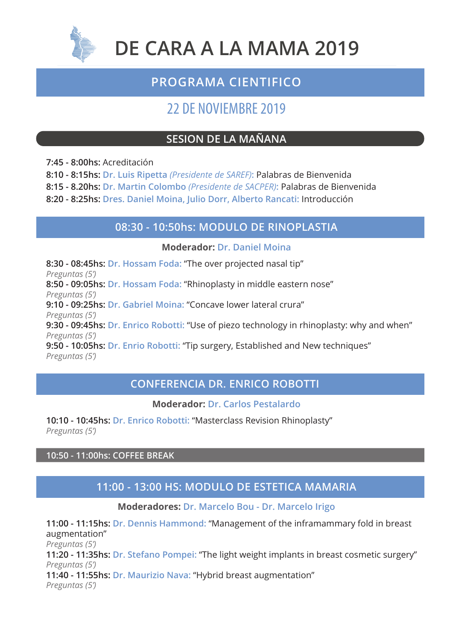

# **DE CARA A LA MAMA 2019**

# **PROGRAMA CIENTIFICO**

# 22 DE NOVIEMBRE 2019

# **SESION DE LA MAÑANA**

**7:45 - 8:00hs:** Acreditación

**8:10 - 8:15hs: Dr. Luis Ripetta** *(Presidente de SAREF)***:** Palabras de Bienvenida

**8:15 - 8.20hs: Dr. Martin Colombo** *(Presidente de SACPER)***:** Palabras de Bienvenida

**8:20 - 8:25hs: Dres. Daniel Moina, Julio Dorr, Alberto Rancati:** Introducción

## **08:30 - 10:50hs: MODULO DE RINOPLASTIA**

#### **Moderador: Dr. Daniel Moina**

**8:30 - 08:45hs: Dr. Hossam Foda:** "The over projected nasal tip" *Preguntas (5')*

**8:50 - 09:05hs: Dr. Hossam Foda:** "Rhinoplasty in middle eastern nose" *Preguntas (5')*

**9:10 - 09:25hs: Dr. Gabriel Moina:** "Concave lower lateral crura"

*Preguntas (5')*

**9:30 - 09:45hs: Dr. Enrico Robotti:** "Use of piezo technology in rhinoplasty: why and when" *Preguntas (5')*

**9:50 - 10:05hs: Dr. Enrio Robotti:** "Tip surgery, Established and New techniques" *Preguntas (5')*

## **CONFERENCIA DR. ENRICO ROBOTTI**

**Moderador: Dr. Carlos Pestalardo**

**10:10 - 10:45hs: Dr. Enrico Robotti:** "Masterclass Revision Rhinoplasty" *Preguntas (5')*

**10:50 - 11:00hs: COFFEE BREAK** 

# **11:00 - 13:00 HS: MODULO DE ESTETICA MAMARIA**

**Moderadores: Dr. Marcelo Bou - Dr. Marcelo Irigo**

**11:00 - 11:15hs: Dr. Dennis Hammond:** "Management of the inframammary fold in breast augmentation" *Preguntas (5')* **11:20 - 11:35hs: Dr. Stefano Pompei:** "The light weight implants in breast cosmetic surgery" *Preguntas (5')* **11:40 - 11:55hs: Dr. Maurizio Nava:** "Hybrid breast augmentation" *Preguntas (5')*